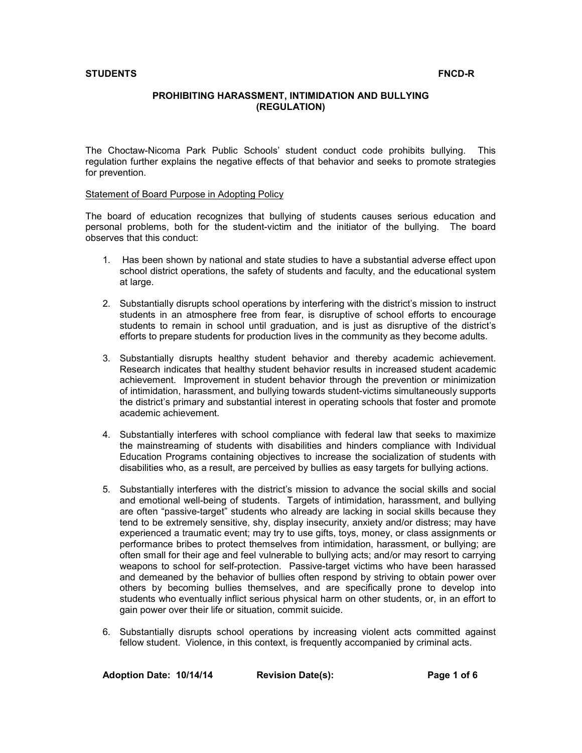# **PROHIBITING HARASSMENT, INTIMIDATION AND BULLYING (REGULATION)**

The Choctaw-Nicoma Park Public Schools' student conduct code prohibits bullying. This regulation further explains the negative effects of that behavior and seeks to promote strategies for prevention.

## Statement of Board Purpose in Adopting Policy

The board of education recognizes that bullying of students causes serious education and personal problems, both for the student-victim and the initiator of the bullying. The board observes that this conduct:

- 1. Has been shown by national and state studies to have a substantial adverse effect upon school district operations, the safety of students and faculty, and the educational system at large.
- 2. Substantially disrupts school operations by interfering with the district's mission to instruct students in an atmosphere free from fear, is disruptive of school efforts to encourage students to remain in school until graduation, and is just as disruptive of the district's efforts to prepare students for production lives in the community as they become adults.
- 3. Substantially disrupts healthy student behavior and thereby academic achievement. Research indicates that healthy student behavior results in increased student academic achievement. Improvement in student behavior through the prevention or minimization of intimidation, harassment, and bullying towards student-victims simultaneously supports the district's primary and substantial interest in operating schools that foster and promote academic achievement.
- 4. Substantially interferes with school compliance with federal law that seeks to maximize the mainstreaming of students with disabilities and hinders compliance with Individual Education Programs containing objectives to increase the socialization of students with disabilities who, as a result, are perceived by bullies as easy targets for bullying actions.
- 5. Substantially interferes with the district's mission to advance the social skills and social and emotional well-being of students. Targets of intimidation, harassment, and bullying are often "passive-target" students who already are lacking in social skills because they tend to be extremely sensitive, shy, display insecurity, anxiety and/or distress; may have experienced a traumatic event; may try to use gifts, toys, money, or class assignments or performance bribes to protect themselves from intimidation, harassment, or bullying; are often small for their age and feel vulnerable to bullying acts; and/or may resort to carrying weapons to school for self-protection. Passive-target victims who have been harassed and demeaned by the behavior of bullies often respond by striving to obtain power over others by becoming bullies themselves, and are specifically prone to develop into students who eventually inflict serious physical harm on other students, or, in an effort to gain power over their life or situation, commit suicide.
- 6. Substantially disrupts school operations by increasing violent acts committed against fellow student. Violence, in this context, is frequently accompanied by criminal acts.

**Adoption Date: 10/14/14 Revision Date(s): Page 1 of 6**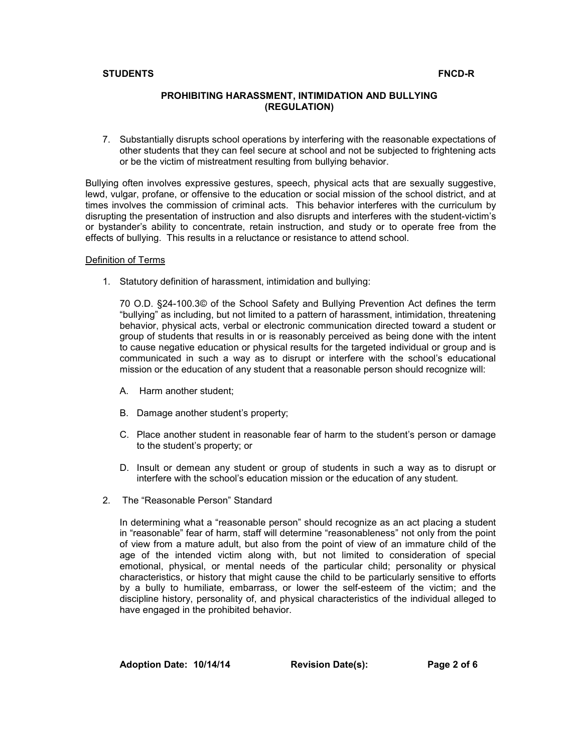# **PROHIBITING HARASSMENT, INTIMIDATION AND BULLYING (REGULATION)**

7. Substantially disrupts school operations by interfering with the reasonable expectations of other students that they can feel secure at school and not be subjected to frightening acts or be the victim of mistreatment resulting from bullying behavior.

Bullying often involves expressive gestures, speech, physical acts that are sexually suggestive, lewd, vulgar, profane, or offensive to the education or social mission of the school district, and at times involves the commission of criminal acts. This behavior interferes with the curriculum by disrupting the presentation of instruction and also disrupts and interferes with the student-victim's or bystander's ability to concentrate, retain instruction, and study or to operate free from the effects of bullying. This results in a reluctance or resistance to attend school.

## Definition of Terms

1. Statutory definition of harassment, intimidation and bullying:

70 O.D. §24-100.3© of the School Safety and Bullying Prevention Act defines the term "bullying" as including, but not limited to a pattern of harassment, intimidation, threatening behavior, physical acts, verbal or electronic communication directed toward a student or group of students that results in or is reasonably perceived as being done with the intent to cause negative education or physical results for the targeted individual or group and is communicated in such a way as to disrupt or interfere with the school's educational mission or the education of any student that a reasonable person should recognize will:

- A. Harm another student;
- B. Damage another student's property;
- C. Place another student in reasonable fear of harm to the student's person or damage to the student's property; or
- D. Insult or demean any student or group of students in such a way as to disrupt or interfere with the school's education mission or the education of any student.
- 2. The "Reasonable Person" Standard

In determining what a "reasonable person" should recognize as an act placing a student in "reasonable" fear of harm, staff will determine "reasonableness" not only from the point of view from a mature adult, but also from the point of view of an immature child of the age of the intended victim along with, but not limited to consideration of special emotional, physical, or mental needs of the particular child; personality or physical characteristics, or history that might cause the child to be particularly sensitive to efforts by a bully to humiliate, embarrass, or lower the self-esteem of the victim; and the discipline history, personality of, and physical characteristics of the individual alleged to have engaged in the prohibited behavior.

**Adoption Date: 10/14/14 Revision Date(s): Page 2 of 6**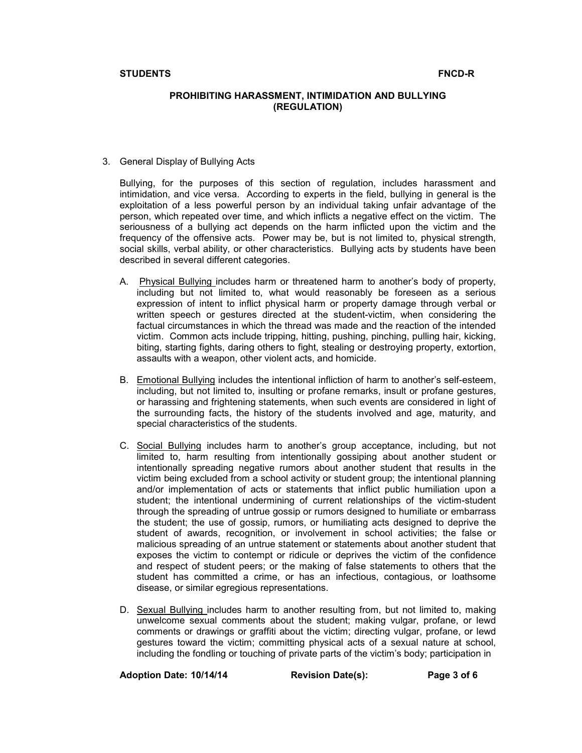# **PROHIBITING HARASSMENT, INTIMIDATION AND BULLYING (REGULATION)**

3. General Display of Bullying Acts

Bullying, for the purposes of this section of regulation, includes harassment and intimidation, and vice versa. According to experts in the field, bullying in general is the exploitation of a less powerful person by an individual taking unfair advantage of the person, which repeated over time, and which inflicts a negative effect on the victim. The seriousness of a bullying act depends on the harm inflicted upon the victim and the frequency of the offensive acts. Power may be, but is not limited to, physical strength, social skills, verbal ability, or other characteristics. Bullying acts by students have been described in several different categories.

- A. Physical Bullying includes harm or threatened harm to another's body of property, including but not limited to, what would reasonably be foreseen as a serious expression of intent to inflict physical harm or property damage through verbal or written speech or gestures directed at the student-victim, when considering the factual circumstances in which the thread was made and the reaction of the intended victim. Common acts include tripping, hitting, pushing, pinching, pulling hair, kicking, biting, starting fights, daring others to fight, stealing or destroying property, extortion, assaults with a weapon, other violent acts, and homicide.
- B. Emotional Bullying includes the intentional infliction of harm to another's self-esteem, including, but not limited to, insulting or profane remarks, insult or profane gestures, or harassing and frightening statements, when such events are considered in light of the surrounding facts, the history of the students involved and age, maturity, and special characteristics of the students.
- C. Social Bullying includes harm to another's group acceptance, including, but not limited to, harm resulting from intentionally gossiping about another student or intentionally spreading negative rumors about another student that results in the victim being excluded from a school activity or student group; the intentional planning and/or implementation of acts or statements that inflict public humiliation upon a student; the intentional undermining of current relationships of the victim-student through the spreading of untrue gossip or rumors designed to humiliate or embarrass the student; the use of gossip, rumors, or humiliating acts designed to deprive the student of awards, recognition, or involvement in school activities; the false or malicious spreading of an untrue statement or statements about another student that exposes the victim to contempt or ridicule or deprives the victim of the confidence and respect of student peers; or the making of false statements to others that the student has committed a crime, or has an infectious, contagious, or loathsome disease, or similar egregious representations.
- D. Sexual Bullying includes harm to another resulting from, but not limited to, making unwelcome sexual comments about the student; making vulgar, profane, or lewd comments or drawings or graffiti about the victim; directing vulgar, profane, or lewd gestures toward the victim; committing physical acts of a sexual nature at school, including the fondling or touching of private parts of the victim's body; participation in

**Adoption Date: 10/14/14 Revision Date(s): Page 3 of 6**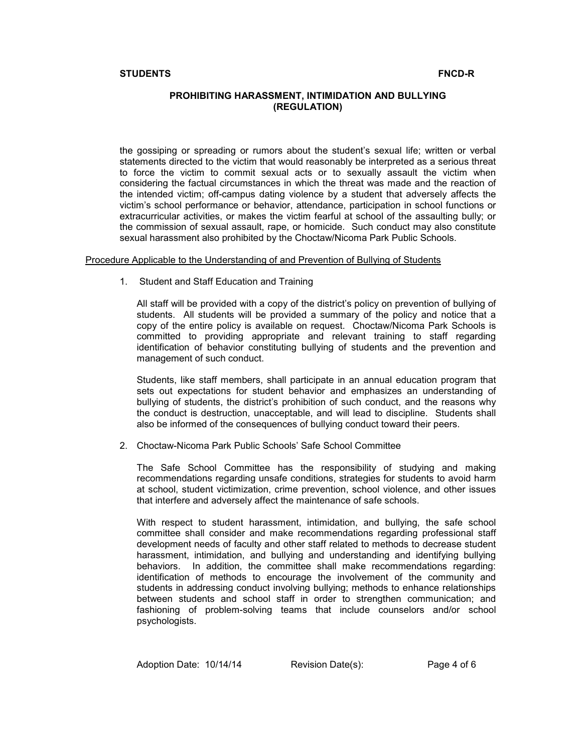# **PROHIBITING HARASSMENT, INTIMIDATION AND BULLYING (REGULATION)**

the gossiping or spreading or rumors about the student's sexual life; written or verbal statements directed to the victim that would reasonably be interpreted as a serious threat to force the victim to commit sexual acts or to sexually assault the victim when considering the factual circumstances in which the threat was made and the reaction of the intended victim; off-campus dating violence by a student that adversely affects the victim's school performance or behavior, attendance, participation in school functions or extracurricular activities, or makes the victim fearful at school of the assaulting bully; or the commission of sexual assault, rape, or homicide. Such conduct may also constitute sexual harassment also prohibited by the Choctaw/Nicoma Park Public Schools.

### Procedure Applicable to the Understanding of and Prevention of Bullying of Students

1. Student and Staff Education and Training

All staff will be provided with a copy of the district's policy on prevention of bullying of students. All students will be provided a summary of the policy and notice that a copy of the entire policy is available on request. Choctaw/Nicoma Park Schools is committed to providing appropriate and relevant training to staff regarding identification of behavior constituting bullying of students and the prevention and management of such conduct.

Students, like staff members, shall participate in an annual education program that sets out expectations for student behavior and emphasizes an understanding of bullying of students, the district's prohibition of such conduct, and the reasons why the conduct is destruction, unacceptable, and will lead to discipline. Students shall also be informed of the consequences of bullying conduct toward their peers.

2. Choctaw-Nicoma Park Public Schools' Safe School Committee

The Safe School Committee has the responsibility of studying and making recommendations regarding unsafe conditions, strategies for students to avoid harm at school, student victimization, crime prevention, school violence, and other issues that interfere and adversely affect the maintenance of safe schools.

With respect to student harassment, intimidation, and bullying, the safe school committee shall consider and make recommendations regarding professional staff development needs of faculty and other staff related to methods to decrease student harassment, intimidation, and bullying and understanding and identifying bullying behaviors. In addition, the committee shall make recommendations regarding: identification of methods to encourage the involvement of the community and students in addressing conduct involving bullying; methods to enhance relationships between students and school staff in order to strengthen communication; and fashioning of problem-solving teams that include counselors and/or school psychologists.

Adoption Date: 10/14/14 Revision Date(s): Page 4 of 6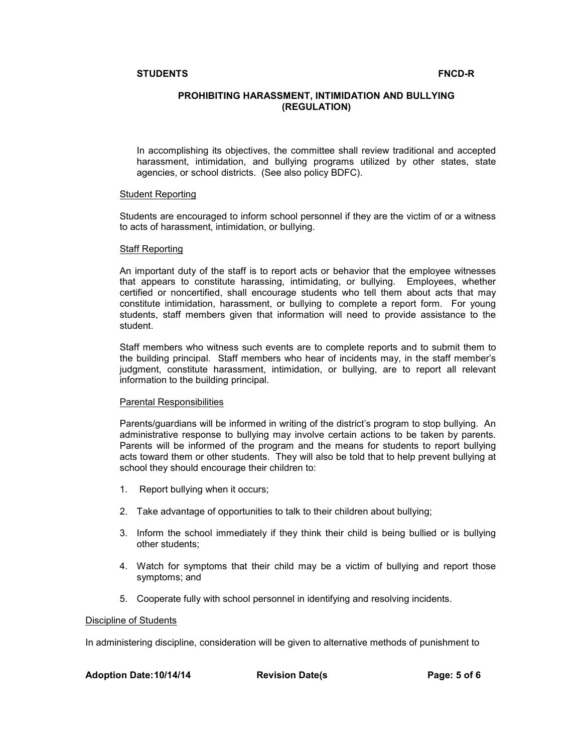# **PROHIBITING HARASSMENT, INTIMIDATION AND BULLYING (REGULATION)**

In accomplishing its objectives, the committee shall review traditional and accepted harassment, intimidation, and bullying programs utilized by other states, state agencies, or school districts. (See also policy BDFC).

## Student Reporting

Students are encouraged to inform school personnel if they are the victim of or a witness to acts of harassment, intimidation, or bullying.

### Staff Reporting

An important duty of the staff is to report acts or behavior that the employee witnesses that appears to constitute harassing, intimidating, or bullying. Employees, whether certified or noncertified, shall encourage students who tell them about acts that may constitute intimidation, harassment, or bullying to complete a report form. For young students, staff members given that information will need to provide assistance to the student.

Staff members who witness such events are to complete reports and to submit them to the building principal. Staff members who hear of incidents may, in the staff member's judgment, constitute harassment, intimidation, or bullying, are to report all relevant information to the building principal.

## Parental Responsibilities

Parents/guardians will be informed in writing of the district's program to stop bullying. An administrative response to bullying may involve certain actions to be taken by parents. Parents will be informed of the program and the means for students to report bullying acts toward them or other students. They will also be told that to help prevent bullying at school they should encourage their children to:

- 1. Report bullying when it occurs;
- 2. Take advantage of opportunities to talk to their children about bullying;
- 3. Inform the school immediately if they think their child is being bullied or is bullying other students;
- 4. Watch for symptoms that their child may be a victim of bullying and report those symptoms; and
- 5. Cooperate fully with school personnel in identifying and resolving incidents.

## Discipline of Students

In administering discipline, consideration will be given to alternative methods of punishment to

**Adoption Date:10/14/14 Revision Date(s Page: 5 of 6**